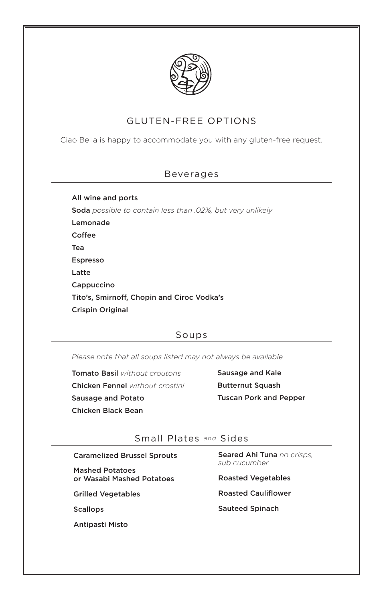

# GLUTEN-FREE OPTIONS

Ciao Bella is happy to accommodate you with any gluten-free request.

### Beverages

All wine and ports Soda *possible to contain less than .02%, but very unlikely* Lemonade Coffee Tea Espresso Latte Cappuccino Tito's, Smirnoff, Chopin and Ciroc Vodka's

Crispin Original

# Soups

*Please note that all soups listed may not always be available*

Tomato Basil *without croutons* Chicken Fennel *without crostini* Sausage and Potato Chicken Black Bean

Sausage and Kale Butternut Squash Tuscan Pork and Pepper

# Small Plates *and* Sides

Caramelized Brussel Sprouts

Mashed Potatoes or Wasabi Mashed Potatoes

Grilled Vegetables

**Scallops** 

Antipasti Misto

Seared Ahi Tuna *no crisps, sub cucumber*

Roasted Vegetables

Roasted Cauliflower

Sauteed Spinach